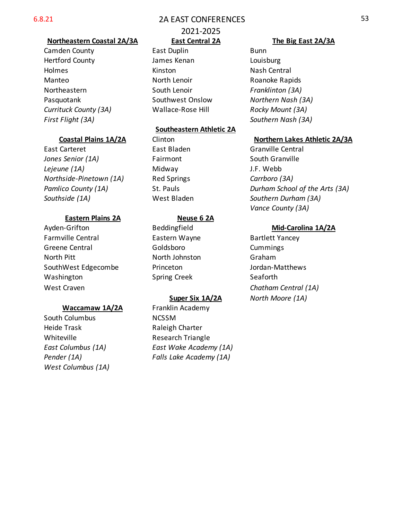# 6.8.21 2A EAST CONFERENCES

# **Northeastern Coastal 2A/3A East Central 2A The Big East 2A/3A**

Hertford County James Kenan Louisburg Holmes **Kinston** Kinston Nash Central Manteo **North Lenoir** Roanoke Rapids **Manteo** Northeastern **South Lenoir** *Franklinton (3A)* Pasquotank Southwest Onslow *Northern Nash (3A) Currituck County (3A)* Wallace-Rose Hill *Rocky Mount (3A)*

East Carteret East Bladen Granville Central *Jones Senior (1A)* Fairmont South Granville *Lejeune (1A)* Midway J.F. Webb *Northside-Pinetown (1A)* Red Springs *Carrboro (3A) Southside (1A)* West Bladen *Southern Durham (3A)*

# **Eastern Plains 2A Neuse 6 2A**

Ayden-Grifton Beddingfield **Mid-Carolina 1A/2A** Farmville Central **Eastern Wayne** Bartlett Yancey Greene Central Goldsboro Cummings North Pitt North Johnston Graham SouthWest Edgecombe Princeton and Durdan-Matthews Washington Spring Creek Seaforth West Craven *Chatham Central (1A)*

## **Waccamaw 1A/2A** Franklin Academy

South Columbus NCSSM Heide Trask **Raleigh Charter** Whiteville **Research Triangle** *West Columbus (1A)*

# 2021-2025

Camden County **East Duplin** East Duplin

## **Southeastern Athletic 2A**

*East Columbus (1A) East Wake Academy (1A) Pender (1A) Falls Lake Academy (1A)*

*First Flight (3A) Southern Nash (3A)*

# **Coastal Plains 1A/2A** Clinton **Coastal Plains 1A/2A** Clinton **Coastal Plains 1A/3A**

*Pamlico County (1A)* St. Pauls *Durham School of the Arts (3A) Vance County (3A)*

**Super Six 1A/2A** *North Moore (1A)*